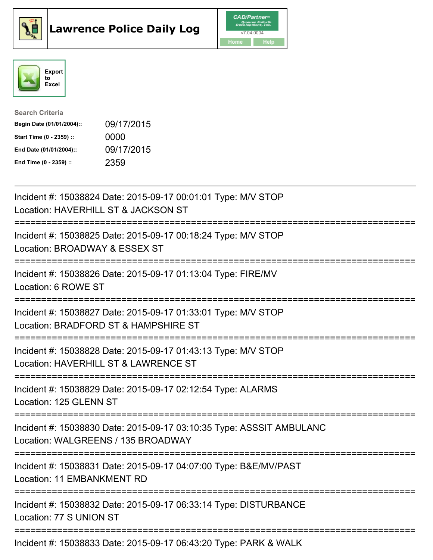





| <b>Search Criteria</b>    |            |
|---------------------------|------------|
| Begin Date (01/01/2004):: | 09/17/2015 |
| Start Time (0 - 2359) ::  | 0000       |
| End Date (01/01/2004)::   | 09/17/2015 |
| End Time (0 - 2359) ::    | 2359       |

| Incident #: 15038824 Date: 2015-09-17 00:01:01 Type: M/V STOP<br>Location: HAVERHILL ST & JACKSON ST                                     |
|------------------------------------------------------------------------------------------------------------------------------------------|
| Incident #: 15038825 Date: 2015-09-17 00:18:24 Type: M/V STOP<br>Location: BROADWAY & ESSEX ST<br>======================<br>---------    |
| Incident #: 15038826 Date: 2015-09-17 01:13:04 Type: FIRE/MV<br>Location: 6 ROWE ST<br>----------------------------------                |
| Incident #: 15038827 Date: 2015-09-17 01:33:01 Type: M/V STOP<br>Location: BRADFORD ST & HAMPSHIRE ST<br>:=========================      |
| Incident #: 15038828 Date: 2015-09-17 01:43:13 Type: M/V STOP<br>Location: HAVERHILL ST & LAWRENCE ST<br>.________________________       |
| Incident #: 15038829 Date: 2015-09-17 02:12:54 Type: ALARMS<br>Location: 125 GLENN ST                                                    |
| Incident #: 15038830 Date: 2015-09-17 03:10:35 Type: ASSSIT AMBULANC<br>Location: WALGREENS / 135 BROADWAY<br>========================== |
| Incident #: 15038831 Date: 2015-09-17 04:07:00 Type: B&E/MV/PAST<br>Location: 11 EMBANKMENT RD                                           |
| =====================================<br>Incident #: 15038832 Date: 2015-09-17 06:33:14 Type: DISTURBANCE<br>Location: 77 S UNION ST     |
| Incident #: 15038833 Date: 2015-09-17 06:43:20 Type: PARK & WALK                                                                         |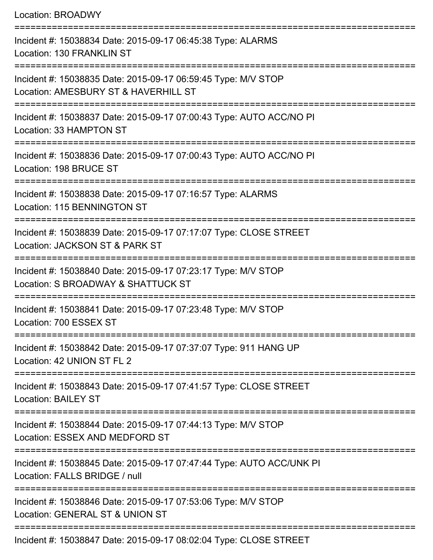| Location: BROADWY                                                                                                |
|------------------------------------------------------------------------------------------------------------------|
| Incident #: 15038834 Date: 2015-09-17 06:45:38 Type: ALARMS<br>Location: 130 FRANKLIN ST                         |
| Incident #: 15038835 Date: 2015-09-17 06:59:45 Type: M/V STOP<br>Location: AMESBURY ST & HAVERHILL ST            |
| Incident #: 15038837 Date: 2015-09-17 07:00:43 Type: AUTO ACC/NO PI<br>Location: 33 HAMPTON ST                   |
| Incident #: 15038836 Date: 2015-09-17 07:00:43 Type: AUTO ACC/NO PI<br>Location: 198 BRUCE ST                    |
| Incident #: 15038838 Date: 2015-09-17 07:16:57 Type: ALARMS<br>Location: 115 BENNINGTON ST                       |
| Incident #: 15038839 Date: 2015-09-17 07:17:07 Type: CLOSE STREET<br>Location: JACKSON ST & PARK ST              |
| Incident #: 15038840 Date: 2015-09-17 07:23:17 Type: M/V STOP<br>Location: S BROADWAY & SHATTUCK ST              |
| :====================<br>Incident #: 15038841 Date: 2015-09-17 07:23:48 Type: M/V STOP<br>Location: 700 ESSEX ST |
| Incident #: 15038842 Date: 2015-09-17 07:37:07 Type: 911 HANG UP<br>Location: 42 UNION ST FL 2                   |
| Incident #: 15038843 Date: 2015-09-17 07:41:57 Type: CLOSE STREET<br><b>Location: BAILEY ST</b>                  |
| Incident #: 15038844 Date: 2015-09-17 07:44:13 Type: M/V STOP<br>Location: ESSEX AND MEDFORD ST                  |
| Incident #: 15038845 Date: 2015-09-17 07:47:44 Type: AUTO ACC/UNK PI<br>Location: FALLS BRIDGE / null            |
| Incident #: 15038846 Date: 2015-09-17 07:53:06 Type: M/V STOP<br>Location: GENERAL ST & UNION ST                 |
| Incident #: 15038847 Date: 2015-09-17 08:02:04 Type: CLOSE STREET                                                |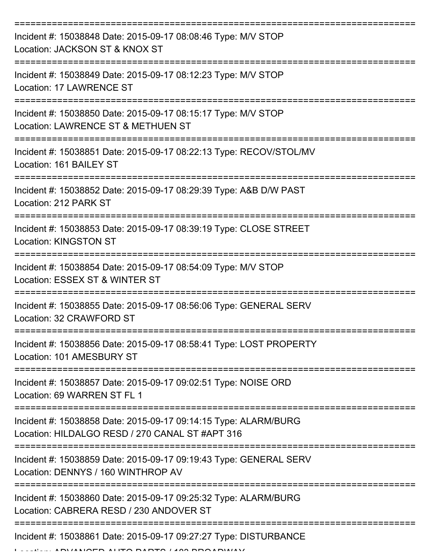| Incident #: 15038848 Date: 2015-09-17 08:08:46 Type: M/V STOP<br>Location: JACKSON ST & KNOX ST                    |
|--------------------------------------------------------------------------------------------------------------------|
| Incident #: 15038849 Date: 2015-09-17 08:12:23 Type: M/V STOP<br>Location: 17 LAWRENCE ST                          |
| Incident #: 15038850 Date: 2015-09-17 08:15:17 Type: M/V STOP<br>Location: LAWRENCE ST & METHUEN ST                |
| Incident #: 15038851 Date: 2015-09-17 08:22:13 Type: RECOV/STOL/MV<br>Location: 161 BAILEY ST                      |
| Incident #: 15038852 Date: 2015-09-17 08:29:39 Type: A&B D/W PAST<br>Location: 212 PARK ST                         |
| Incident #: 15038853 Date: 2015-09-17 08:39:19 Type: CLOSE STREET<br><b>Location: KINGSTON ST</b>                  |
| Incident #: 15038854 Date: 2015-09-17 08:54:09 Type: M/V STOP<br>Location: ESSEX ST & WINTER ST                    |
| Incident #: 15038855 Date: 2015-09-17 08:56:06 Type: GENERAL SERV<br>Location: 32 CRAWFORD ST                      |
| Incident #: 15038856 Date: 2015-09-17 08:58:41 Type: LOST PROPERTY<br>Location: 101 AMESBURY ST                    |
| Incident #: 15038857 Date: 2015-09-17 09:02:51 Type: NOISE ORD<br>Location: 69 WARREN ST FL 1                      |
| Incident #: 15038858 Date: 2015-09-17 09:14:15 Type: ALARM/BURG<br>Location: HILDALGO RESD / 270 CANAL ST #APT 316 |
| Incident #: 15038859 Date: 2015-09-17 09:19:43 Type: GENERAL SERV<br>Location: DENNYS / 160 WINTHROP AV            |
| Incident #: 15038860 Date: 2015-09-17 09:25:32 Type: ALARM/BURG<br>Location: CABRERA RESD / 230 ANDOVER ST         |
| Incident #: 15038861 Date: 2015-09-17 09:27:27 Type: DISTURBANCE<br>NIAFR AUTA BARTA LAN BRAADUMAY                 |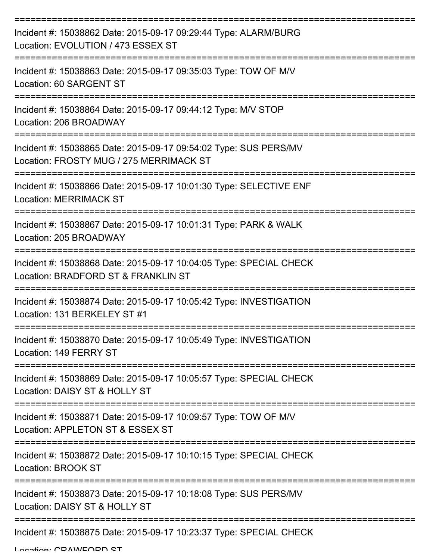| Incident #: 15038862 Date: 2015-09-17 09:29:44 Type: ALARM/BURG<br>Location: EVOLUTION / 473 ESSEX ST                            |
|----------------------------------------------------------------------------------------------------------------------------------|
| Incident #: 15038863 Date: 2015-09-17 09:35:03 Type: TOW OF M/V<br>Location: 60 SARGENT ST                                       |
| Incident #: 15038864 Date: 2015-09-17 09:44:12 Type: M/V STOP<br>Location: 206 BROADWAY                                          |
| Incident #: 15038865 Date: 2015-09-17 09:54:02 Type: SUS PERS/MV<br>Location: FROSTY MUG / 275 MERRIMACK ST                      |
| Incident #: 15038866 Date: 2015-09-17 10:01:30 Type: SELECTIVE ENF<br><b>Location: MERRIMACK ST</b>                              |
| Incident #: 15038867 Date: 2015-09-17 10:01:31 Type: PARK & WALK<br>Location: 205 BROADWAY                                       |
| ===================<br>Incident #: 15038868 Date: 2015-09-17 10:04:05 Type: SPECIAL CHECK<br>Location: BRADFORD ST & FRANKLIN ST |
| Incident #: 15038874 Date: 2015-09-17 10:05:42 Type: INVESTIGATION<br>Location: 131 BERKELEY ST #1                               |
| Incident #: 15038870 Date: 2015-09-17 10:05:49 Type: INVESTIGATION<br>Location: 149 FERRY ST                                     |
| Incident #: 15038869 Date: 2015-09-17 10:05:57 Type: SPECIAL CHECK<br>Location: DAISY ST & HOLLY ST                              |
| Incident #: 15038871 Date: 2015-09-17 10:09:57 Type: TOW OF M/V<br>Location: APPLETON ST & ESSEX ST                              |
| Incident #: 15038872 Date: 2015-09-17 10:10:15 Type: SPECIAL CHECK<br><b>Location: BROOK ST</b>                                  |
| Incident #: 15038873 Date: 2015-09-17 10:18:08 Type: SUS PERS/MV<br>Location: DAISY ST & HOLLY ST                                |
| Incident #: 15038875 Date: 2015-09-17 10:23:37 Type: SPECIAL CHECK                                                               |

Location: CDAMEODD ST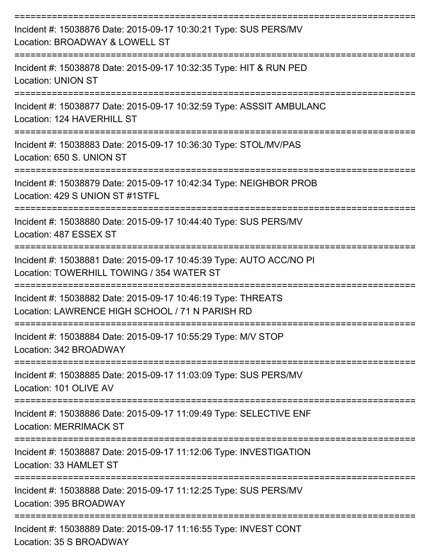| Incident #: 15038876 Date: 2015-09-17 10:30:21 Type: SUS PERS/MV<br>Location: BROADWAY & LOWELL ST               |
|------------------------------------------------------------------------------------------------------------------|
| Incident #: 15038878 Date: 2015-09-17 10:32:35 Type: HIT & RUN PED<br><b>Location: UNION ST</b>                  |
| Incident #: 15038877 Date: 2015-09-17 10:32:59 Type: ASSSIT AMBULANC<br>Location: 124 HAVERHILL ST               |
| Incident #: 15038883 Date: 2015-09-17 10:36:30 Type: STOL/MV/PAS<br>Location: 650 S. UNION ST                    |
| Incident #: 15038879 Date: 2015-09-17 10:42:34 Type: NEIGHBOR PROB<br>Location: 429 S UNION ST #1STFL            |
| Incident #: 15038880 Date: 2015-09-17 10:44:40 Type: SUS PERS/MV<br>Location: 487 ESSEX ST                       |
| Incident #: 15038881 Date: 2015-09-17 10:45:39 Type: AUTO ACC/NO PI<br>Location: TOWERHILL TOWING / 354 WATER ST |
| Incident #: 15038882 Date: 2015-09-17 10:46:19 Type: THREATS<br>Location: LAWRENCE HIGH SCHOOL / 71 N PARISH RD  |
| Incident #: 15038884 Date: 2015-09-17 10:55:29 Type: M/V STOP<br>Location: 342 BROADWAY                          |
| Incident #: 15038885 Date: 2015-09-17 11:03:09 Type: SUS PERS/MV<br>Location: 101 OLIVE AV                       |
| Incident #: 15038886 Date: 2015-09-17 11:09:49 Type: SELECTIVE ENF<br><b>Location: MERRIMACK ST</b>              |
| Incident #: 15038887 Date: 2015-09-17 11:12:06 Type: INVESTIGATION<br>Location: 33 HAMLET ST                     |
| Incident #: 15038888 Date: 2015-09-17 11:12:25 Type: SUS PERS/MV<br>Location: 395 BROADWAY                       |
| Incident #: 15038889 Date: 2015-09-17 11:16:55 Type: INVEST CONT<br>Location: 35 S BROADWAY                      |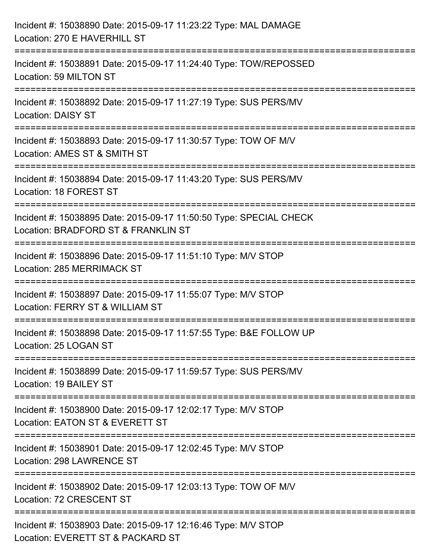| Incident #: 15038890 Date: 2015-09-17 11:23:22 Type: MAL DAMAGE<br>Location: 270 E HAVERHILL ST                                                                    |
|--------------------------------------------------------------------------------------------------------------------------------------------------------------------|
| ==========================<br>Incident #: 15038891 Date: 2015-09-17 11:24:40 Type: TOW/REPOSSED<br>Location: 59 MILTON ST                                          |
| Incident #: 15038892 Date: 2015-09-17 11:27:19 Type: SUS PERS/MV<br><b>Location: DAISY ST</b>                                                                      |
| Incident #: 15038893 Date: 2015-09-17 11:30:57 Type: TOW OF M/V<br>Location: AMES ST & SMITH ST                                                                    |
| Incident #: 15038894 Date: 2015-09-17 11:43:20 Type: SUS PERS/MV<br>Location: 18 FOREST ST<br>=================================<br>=============================== |
| Incident #: 15038895 Date: 2015-09-17 11:50:50 Type: SPECIAL CHECK<br>Location: BRADFORD ST & FRANKLIN ST                                                          |
| Incident #: 15038896 Date: 2015-09-17 11:51:10 Type: M/V STOP<br><b>Location: 285 MERRIMACK ST</b>                                                                 |
| Incident #: 15038897 Date: 2015-09-17 11:55:07 Type: M/V STOP<br>Location: FERRY ST & WILLIAM ST                                                                   |
| Incident #: 15038898 Date: 2015-09-17 11:57:55 Type: B&E FOLLOW UP<br>Location: 25 LOGAN ST                                                                        |
| Incident #: 15038899 Date: 2015-09-17 11:59:57 Type: SUS PERS/MV<br>Location: 19 BAILEY ST                                                                         |
| Incident #: 15038900 Date: 2015-09-17 12:02:17 Type: M/V STOP<br>Location: EATON ST & EVERETT ST                                                                   |
| Incident #: 15038901 Date: 2015-09-17 12:02:45 Type: M/V STOP<br>Location: 298 LAWRENCE ST                                                                         |
| Incident #: 15038902 Date: 2015-09-17 12:03:13 Type: TOW OF M/V<br>Location: 72 CRESCENT ST                                                                        |
| Incident #: 15038903 Date: 2015-09-17 12:16:46 Type: M/V STOP<br>Location: EVERETT ST & PACKARD ST                                                                 |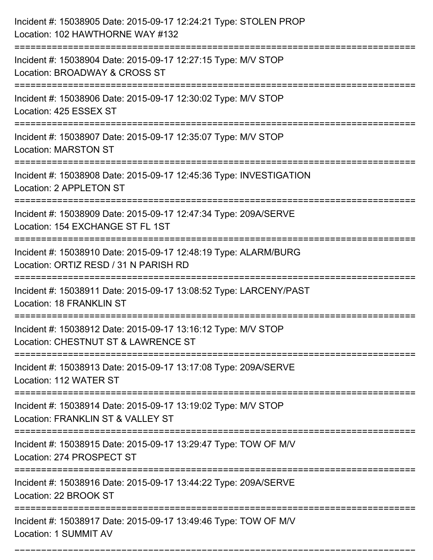| Incident #: 15038917 Date: 2015-09-17 13:49:46 Type: TOW OF M/V<br>Location: 1 SUMMIT AV                 |
|----------------------------------------------------------------------------------------------------------|
| Incident #: 15038916 Date: 2015-09-17 13:44:22 Type: 209A/SERVE<br>Location: 22 BROOK ST                 |
| Incident #: 15038915 Date: 2015-09-17 13:29:47 Type: TOW OF M/V<br>Location: 274 PROSPECT ST             |
| Incident #: 15038914 Date: 2015-09-17 13:19:02 Type: M/V STOP<br>Location: FRANKLIN ST & VALLEY ST       |
| Incident #: 15038913 Date: 2015-09-17 13:17:08 Type: 209A/SERVE<br>Location: 112 WATER ST                |
| Incident #: 15038912 Date: 2015-09-17 13:16:12 Type: M/V STOP<br>Location: CHESTNUT ST & LAWRENCE ST     |
| Incident #: 15038911 Date: 2015-09-17 13:08:52 Type: LARCENY/PAST<br>Location: 18 FRANKLIN ST            |
| Incident #: 15038910 Date: 2015-09-17 12:48:19 Type: ALARM/BURG<br>Location: ORTIZ RESD / 31 N PARISH RD |
| Incident #: 15038909 Date: 2015-09-17 12:47:34 Type: 209A/SERVE<br>Location: 154 EXCHANGE ST FL 1ST      |
| Incident #: 15038908 Date: 2015-09-17 12:45:36 Type: INVESTIGATION<br>Location: 2 APPLETON ST            |
| Incident #: 15038907 Date: 2015-09-17 12:35:07 Type: M/V STOP<br><b>Location: MARSTON ST</b>             |
| Incident #: 15038906 Date: 2015-09-17 12:30:02 Type: M/V STOP<br>Location: 425 ESSEX ST                  |
| Incident #: 15038904 Date: 2015-09-17 12:27:15 Type: M/V STOP<br>Location: BROADWAY & CROSS ST           |
| Incident #: 15038905 Date: 2015-09-17 12:24:21 Type: STOLEN PROP<br>Location: 102 HAWTHORNE WAY #132     |

===========================================================================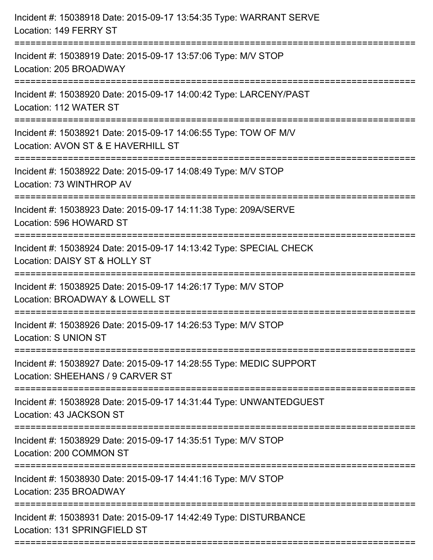| Incident #: 15038918 Date: 2015-09-17 13:54:35 Type: WARRANT SERVE<br>Location: 149 FERRY ST                       |
|--------------------------------------------------------------------------------------------------------------------|
| =======================<br>Incident #: 15038919 Date: 2015-09-17 13:57:06 Type: M/V STOP<br>Location: 205 BROADWAY |
| Incident #: 15038920 Date: 2015-09-17 14:00:42 Type: LARCENY/PAST<br>Location: 112 WATER ST                        |
| Incident #: 15038921 Date: 2015-09-17 14:06:55 Type: TOW OF M/V<br>Location: AVON ST & E HAVERHILL ST              |
| Incident #: 15038922 Date: 2015-09-17 14:08:49 Type: M/V STOP<br>Location: 73 WINTHROP AV                          |
| Incident #: 15038923 Date: 2015-09-17 14:11:38 Type: 209A/SERVE<br>Location: 596 HOWARD ST                         |
| Incident #: 15038924 Date: 2015-09-17 14:13:42 Type: SPECIAL CHECK<br>Location: DAISY ST & HOLLY ST                |
| Incident #: 15038925 Date: 2015-09-17 14:26:17 Type: M/V STOP<br>Location: BROADWAY & LOWELL ST                    |
| Incident #: 15038926 Date: 2015-09-17 14:26:53 Type: M/V STOP<br><b>Location: S UNION ST</b>                       |
| Incident #: 15038927 Date: 2015-09-17 14:28:55 Type: MEDIC SUPPORT<br>Location: SHEEHANS / 9 CARVER ST             |
| Incident #: 15038928 Date: 2015-09-17 14:31:44 Type: UNWANTEDGUEST<br>Location: 43 JACKSON ST                      |
| Incident #: 15038929 Date: 2015-09-17 14:35:51 Type: M/V STOP<br>Location: 200 COMMON ST                           |
| Incident #: 15038930 Date: 2015-09-17 14:41:16 Type: M/V STOP<br>Location: 235 BROADWAY                            |
| Incident #: 15038931 Date: 2015-09-17 14:42:49 Type: DISTURBANCE<br>Location: 131 SPRINGFIELD ST                   |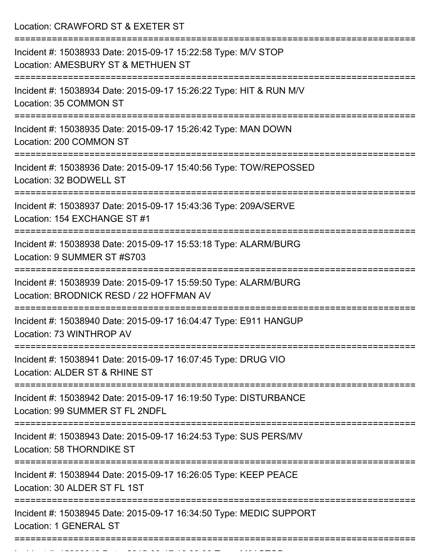Location: CRAWFORD ST & EXETER ST

| Incident #: 15038933 Date: 2015-09-17 15:22:58 Type: M/V STOP<br>Location: AMESBURY ST & METHUEN ST        |
|------------------------------------------------------------------------------------------------------------|
| Incident #: 15038934 Date: 2015-09-17 15:26:22 Type: HIT & RUN M/V<br>Location: 35 COMMON ST               |
| Incident #: 15038935 Date: 2015-09-17 15:26:42 Type: MAN DOWN<br>Location: 200 COMMON ST                   |
| Incident #: 15038936 Date: 2015-09-17 15:40:56 Type: TOW/REPOSSED<br>Location: 32 BODWELL ST               |
| Incident #: 15038937 Date: 2015-09-17 15:43:36 Type: 209A/SERVE<br>Location: 154 EXCHANGE ST #1            |
| Incident #: 15038938 Date: 2015-09-17 15:53:18 Type: ALARM/BURG<br>Location: 9 SUMMER ST #S703             |
| Incident #: 15038939 Date: 2015-09-17 15:59:50 Type: ALARM/BURG<br>Location: BRODNICK RESD / 22 HOFFMAN AV |
| Incident #: 15038940 Date: 2015-09-17 16:04:47 Type: E911 HANGUP<br>Location: 73 WINTHROP AV               |
| Incident #: 15038941 Date: 2015-09-17 16:07:45 Type: DRUG VIO<br>Location: ALDER ST & RHINE ST             |
| Incident #: 15038942 Date: 2015-09-17 16:19:50 Type: DISTURBANCE<br>Location: 99 SUMMER ST FL 2NDFL        |
| Incident #: 15038943 Date: 2015-09-17 16:24:53 Type: SUS PERS/MV<br>Location: 58 THORNDIKE ST              |
| Incident #: 15038944 Date: 2015-09-17 16:26:05 Type: KEEP PEACE<br>Location: 30 ALDER ST FL 1ST            |
| Incident #: 15038945 Date: 2015-09-17 16:34:50 Type: MEDIC SUPPORT<br>Location: 1 GENERAL ST               |
|                                                                                                            |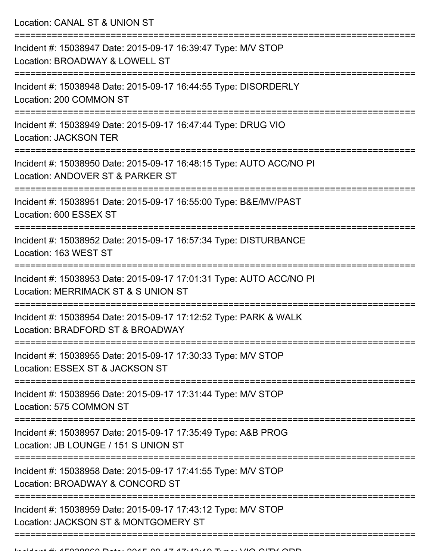Location: CANAL ST & UNION ST

| Incident #: 15038947 Date: 2015-09-17 16:39:47 Type: M/V STOP<br>Location: BROADWAY & LOWELL ST            |
|------------------------------------------------------------------------------------------------------------|
| Incident #: 15038948 Date: 2015-09-17 16:44:55 Type: DISORDERLY<br>Location: 200 COMMON ST                 |
| Incident #: 15038949 Date: 2015-09-17 16:47:44 Type: DRUG VIO<br><b>Location: JACKSON TER</b>              |
| Incident #: 15038950 Date: 2015-09-17 16:48:15 Type: AUTO ACC/NO PI<br>Location: ANDOVER ST & PARKER ST    |
| Incident #: 15038951 Date: 2015-09-17 16:55:00 Type: B&E/MV/PAST<br>Location: 600 ESSEX ST                 |
| Incident #: 15038952 Date: 2015-09-17 16:57:34 Type: DISTURBANCE<br>Location: 163 WEST ST                  |
| Incident #: 15038953 Date: 2015-09-17 17:01:31 Type: AUTO ACC/NO PI<br>Location: MERRIMACK ST & S UNION ST |
| Incident #: 15038954 Date: 2015-09-17 17:12:52 Type: PARK & WALK<br>Location: BRADFORD ST & BROADWAY       |
| Incident #: 15038955 Date: 2015-09-17 17:30:33 Type: M/V STOP<br>Location: ESSEX ST & JACKSON ST           |
| Incident #: 15038956 Date: 2015-09-17 17:31:44 Type: M/V STOP<br>Location: 575 COMMON ST                   |
| Incident #: 15038957 Date: 2015-09-17 17:35:49 Type: A&B PROG<br>Location: JB LOUNGE / 151 S UNION ST      |
| Incident #: 15038958 Date: 2015-09-17 17:41:55 Type: M/V STOP<br>Location: BROADWAY & CONCORD ST           |
| Incident #: 15038959 Date: 2015-09-17 17:43:12 Type: M/V STOP<br>Location: JACKSON ST & MONTGOMERY ST      |
|                                                                                                            |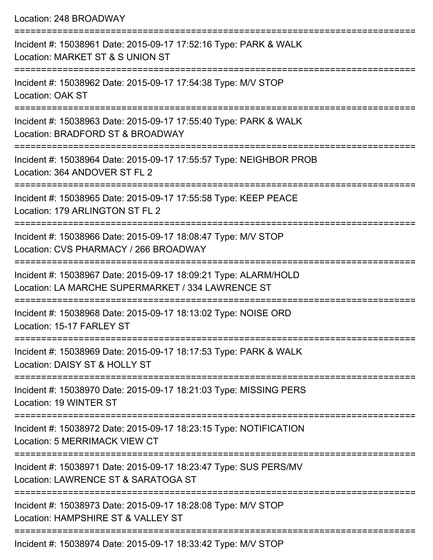|  |  | Location: 248 BROADWAY |
|--|--|------------------------|
|--|--|------------------------|

| Incident #: 15038961 Date: 2015-09-17 17:52:16 Type: PARK & WALK<br>Location: MARKET ST & S UNION ST                 |
|----------------------------------------------------------------------------------------------------------------------|
| Incident #: 15038962 Date: 2015-09-17 17:54:38 Type: M/V STOP<br>Location: OAK ST                                    |
| Incident #: 15038963 Date: 2015-09-17 17:55:40 Type: PARK & WALK<br>Location: BRADFORD ST & BROADWAY                 |
| Incident #: 15038964 Date: 2015-09-17 17:55:57 Type: NEIGHBOR PROB<br>Location: 364 ANDOVER ST FL 2                  |
| Incident #: 15038965 Date: 2015-09-17 17:55:58 Type: KEEP PEACE<br>Location: 179 ARLINGTON ST FL 2                   |
| Incident #: 15038966 Date: 2015-09-17 18:08:47 Type: M/V STOP<br>Location: CVS PHARMACY / 266 BROADWAY               |
| Incident #: 15038967 Date: 2015-09-17 18:09:21 Type: ALARM/HOLD<br>Location: LA MARCHE SUPERMARKET / 334 LAWRENCE ST |
| Incident #: 15038968 Date: 2015-09-17 18:13:02 Type: NOISE ORD<br>Location: 15-17 FARLEY ST                          |
| Incident #: 15038969 Date: 2015-09-17 18:17:53 Type: PARK & WALK<br>Location: DAISY ST & HOLLY ST                    |
| Incident #: 15038970 Date: 2015-09-17 18:21:03 Type: MISSING PERS<br>Location: 19 WINTER ST                          |
| Incident #: 15038972 Date: 2015-09-17 18:23:15 Type: NOTIFICATION<br>Location: 5 MERRIMACK VIEW CT                   |
| Incident #: 15038971 Date: 2015-09-17 18:23:47 Type: SUS PERS/MV<br>Location: LAWRENCE ST & SARATOGA ST              |
| Incident #: 15038973 Date: 2015-09-17 18:28:08 Type: M/V STOP<br>Location: HAMPSHIRE ST & VALLEY ST                  |
| Incident #: 15038974 Date: 2015-09-17 18:33:42 Type: M/V STOP                                                        |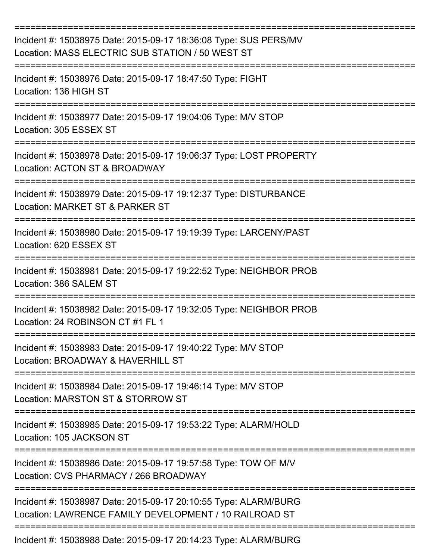| Incident #: 15038975 Date: 2015-09-17 18:36:08 Type: SUS PERS/MV<br>Location: MASS ELECTRIC SUB STATION / 50 WEST ST      |
|---------------------------------------------------------------------------------------------------------------------------|
| Incident #: 15038976 Date: 2015-09-17 18:47:50 Type: FIGHT<br>Location: 136 HIGH ST                                       |
| Incident #: 15038977 Date: 2015-09-17 19:04:06 Type: M/V STOP<br>Location: 305 ESSEX ST                                   |
| Incident #: 15038978 Date: 2015-09-17 19:06:37 Type: LOST PROPERTY<br>Location: ACTON ST & BROADWAY                       |
| Incident #: 15038979 Date: 2015-09-17 19:12:37 Type: DISTURBANCE<br>Location: MARKET ST & PARKER ST                       |
| Incident #: 15038980 Date: 2015-09-17 19:19:39 Type: LARCENY/PAST<br>Location: 620 ESSEX ST                               |
| Incident #: 15038981 Date: 2015-09-17 19:22:52 Type: NEIGHBOR PROB<br>Location: 386 SALEM ST                              |
| Incident #: 15038982 Date: 2015-09-17 19:32:05 Type: NEIGHBOR PROB<br>Location: 24 ROBINSON CT #1 FL 1                    |
| Incident #: 15038983 Date: 2015-09-17 19:40:22 Type: M/V STOP<br>Location: BROADWAY & HAVERHILL ST                        |
| Incident #: 15038984 Date: 2015-09-17 19:46:14 Type: M/V STOP<br>Location: MARSTON ST & STORROW ST                        |
| Incident #: 15038985 Date: 2015-09-17 19:53:22 Type: ALARM/HOLD<br>Location: 105 JACKSON ST                               |
| Incident #: 15038986 Date: 2015-09-17 19:57:58 Type: TOW OF M/V<br>Location: CVS PHARMACY / 266 BROADWAY                  |
| Incident #: 15038987 Date: 2015-09-17 20:10:55 Type: ALARM/BURG<br>Location: LAWRENCE FAMILY DEVELOPMENT / 10 RAILROAD ST |
| Incident #: 15038988 Date: 2015-09-17 20:14:23 Type: ALARM/BURG                                                           |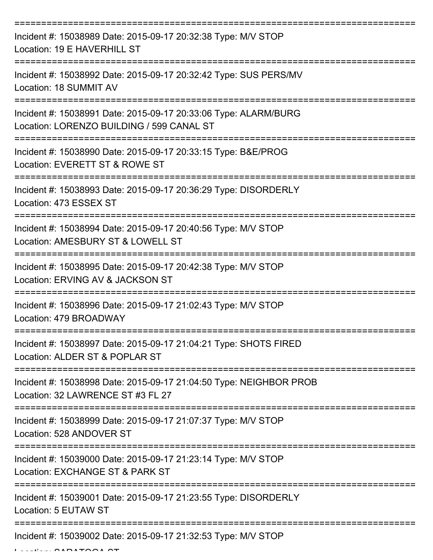| Incident #: 15038989 Date: 2015-09-17 20:32:38 Type: M/V STOP<br>Location: 19 E HAVERHILL ST                 |
|--------------------------------------------------------------------------------------------------------------|
| Incident #: 15038992 Date: 2015-09-17 20:32:42 Type: SUS PERS/MV<br>Location: 18 SUMMIT AV                   |
| Incident #: 15038991 Date: 2015-09-17 20:33:06 Type: ALARM/BURG<br>Location: LORENZO BUILDING / 599 CANAL ST |
| Incident #: 15038990 Date: 2015-09-17 20:33:15 Type: B&E/PROG<br>Location: EVERETT ST & ROWE ST              |
| Incident #: 15038993 Date: 2015-09-17 20:36:29 Type: DISORDERLY<br>Location: 473 ESSEX ST                    |
| Incident #: 15038994 Date: 2015-09-17 20:40:56 Type: M/V STOP<br>Location: AMESBURY ST & LOWELL ST           |
| Incident #: 15038995 Date: 2015-09-17 20:42:38 Type: M/V STOP<br>Location: ERVING AV & JACKSON ST            |
| Incident #: 15038996 Date: 2015-09-17 21:02:43 Type: M/V STOP<br>Location: 479 BROADWAY                      |
| Incident #: 15038997 Date: 2015-09-17 21:04:21 Type: SHOTS FIRED<br>Location: ALDER ST & POPLAR ST           |
| Incident #: 15038998 Date: 2015-09-17 21:04:50 Type: NEIGHBOR PROB<br>Location: 32 LAWRENCE ST #3 FL 27      |
| Incident #: 15038999 Date: 2015-09-17 21:07:37 Type: M/V STOP<br>Location: 528 ANDOVER ST                    |
| Incident #: 15039000 Date: 2015-09-17 21:23:14 Type: M/V STOP<br>Location: EXCHANGE ST & PARK ST             |
| Incident #: 15039001 Date: 2015-09-17 21:23:55 Type: DISORDERLY<br>Location: 5 EUTAW ST                      |
| Incident #: 15039002 Date: 2015-09-17 21:32:53 Type: M/V STOP                                                |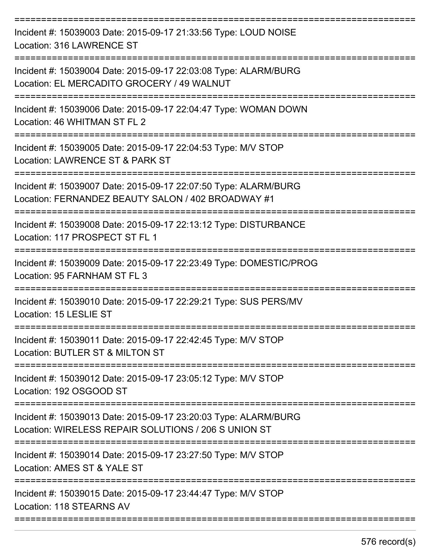| Incident #: 15039003 Date: 2015-09-17 21:33:56 Type: LOUD NOISE<br>Location: 316 LAWRENCE ST                            |
|-------------------------------------------------------------------------------------------------------------------------|
| Incident #: 15039004 Date: 2015-09-17 22:03:08 Type: ALARM/BURG<br>Location: EL MERCADITO GROCERY / 49 WALNUT           |
| Incident #: 15039006 Date: 2015-09-17 22:04:47 Type: WOMAN DOWN<br>Location: 46 WHITMAN ST FL 2                         |
| Incident #: 15039005 Date: 2015-09-17 22:04:53 Type: M/V STOP<br>Location: LAWRENCE ST & PARK ST                        |
| Incident #: 15039007 Date: 2015-09-17 22:07:50 Type: ALARM/BURG<br>Location: FERNANDEZ BEAUTY SALON / 402 BROADWAY #1   |
| Incident #: 15039008 Date: 2015-09-17 22:13:12 Type: DISTURBANCE<br>Location: 117 PROSPECT ST FL 1                      |
| Incident #: 15039009 Date: 2015-09-17 22:23:49 Type: DOMESTIC/PROG<br>Location: 95 FARNHAM ST FL 3                      |
| Incident #: 15039010 Date: 2015-09-17 22:29:21 Type: SUS PERS/MV<br>Location: 15 LESLIE ST                              |
| Incident #: 15039011 Date: 2015-09-17 22:42:45 Type: M/V STOP<br>Location: BUTLER ST & MILTON ST                        |
| Incident #: 15039012 Date: 2015-09-17 23:05:12 Type: M/V STOP<br>Location: 192 OSGOOD ST                                |
| Incident #: 15039013 Date: 2015-09-17 23:20:03 Type: ALARM/BURG<br>Location: WIRELESS REPAIR SOLUTIONS / 206 S UNION ST |
| Incident #: 15039014 Date: 2015-09-17 23:27:50 Type: M/V STOP<br>Location: AMES ST & YALE ST                            |
| Incident #: 15039015 Date: 2015-09-17 23:44:47 Type: M/V STOP<br>Location: 118 STEARNS AV                               |
|                                                                                                                         |